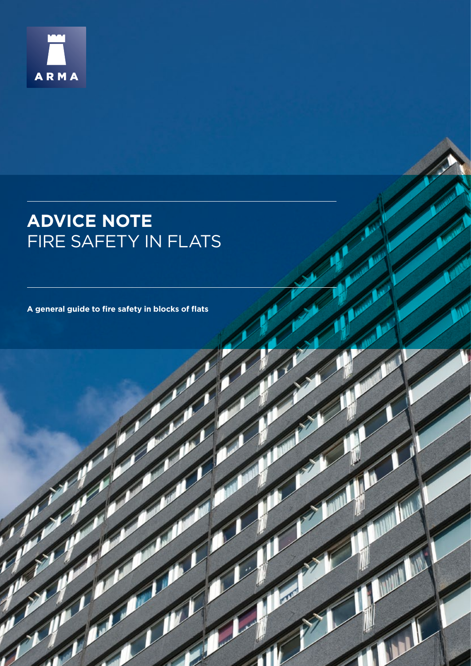

# **ADVICE NOTE** FIRE SAFETY IN FLATS

**A general guide to fire safety in blocks of flats**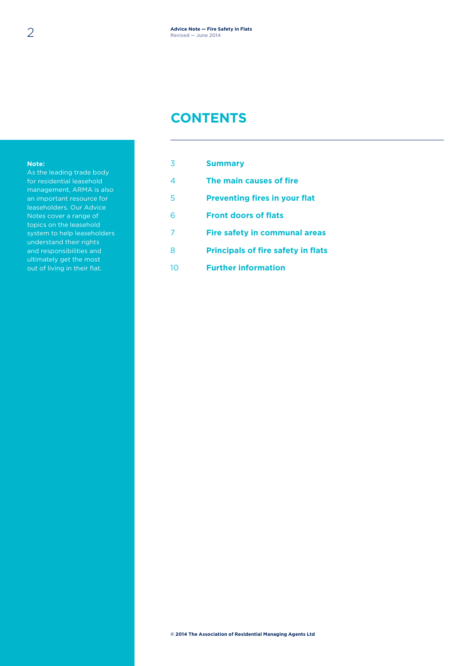### **CONTENTS**

#### **Note:**

As the leading trade body for residential leasehold management, ARMA is also an important resource for leaseholders. Our Advice Notes cover a range of topics on the leasehold system to help leaseholders understand their rights and responsibilities and ultimately get the most out of living in their flat.

| 3  | <b>Summary</b>                            |
|----|-------------------------------------------|
| 4  | The main causes of fire                   |
| 5  | <b>Preventing fires in your flat</b>      |
| 6  | <b>Front doors of flats</b>               |
|    | <b>Fire safety in communal areas</b>      |
| 8  | <b>Principals of fire safety in flats</b> |
| 10 | <b>Further information</b>                |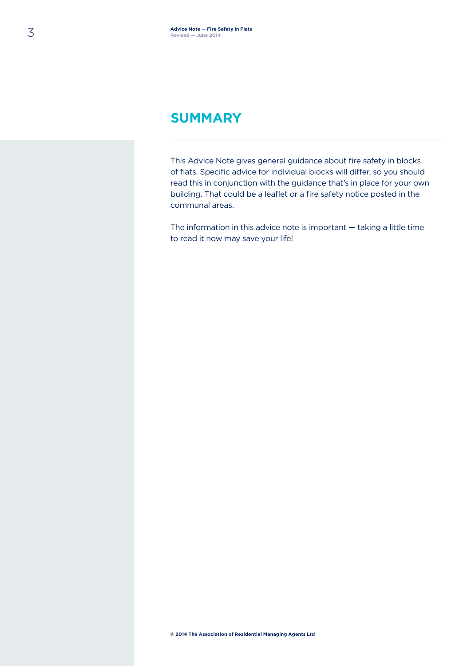#### **SUMMARY**

This Advice Note gives general guidance about fire safety in blocks of flats. Specific advice for individual blocks will differ, so you should read this in conjunction with the guidance that's in place for your own building. That could be a leaflet or a fire safety notice posted in the communal areas.

The information in this advice note is important — taking a little time to read it now may save your life!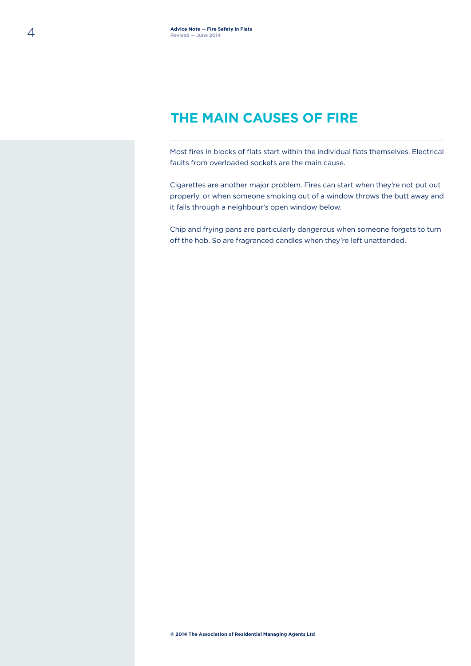# **THE MAIN CAUSES OF FIRE**

Most fires in blocks of flats start within the individual flats themselves. Electrical faults from overloaded sockets are the main cause.

Cigarettes are another major problem. Fires can start when they're not put out properly, or when someone smoking out of a window throws the butt away and it falls through a neighbour's open window below.

Chip and frying pans are particularly dangerous when someone forgets to turn off the hob. So are fragranced candles when they're left unattended.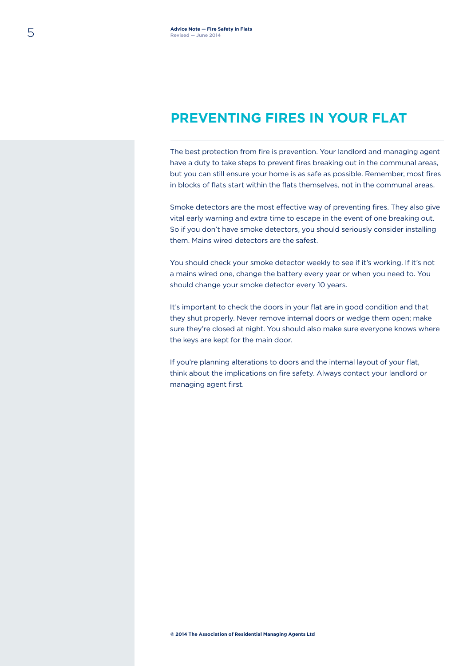### **PREVENTING FIRES IN YOUR FLAT**

The best protection from fire is prevention. Your landlord and managing agent have a duty to take steps to prevent fires breaking out in the communal areas, but you can still ensure your home is as safe as possible. Remember, most fires in blocks of flats start within the flats themselves, not in the communal areas.

Smoke detectors are the most effective way of preventing fires. They also give vital early warning and extra time to escape in the event of one breaking out. So if you don't have smoke detectors, you should seriously consider installing them. Mains wired detectors are the safest.

You should check your smoke detector weekly to see if it's working. If it's not a mains wired one, change the battery every year or when you need to. You should change your smoke detector every 10 years.

It's important to check the doors in your flat are in good condition and that they shut properly. Never remove internal doors or wedge them open; make sure they're closed at night. You should also make sure everyone knows where the keys are kept for the main door.

If you're planning alterations to doors and the internal layout of your flat, think about the implications on fire safety. Always contact your landlord or managing agent first.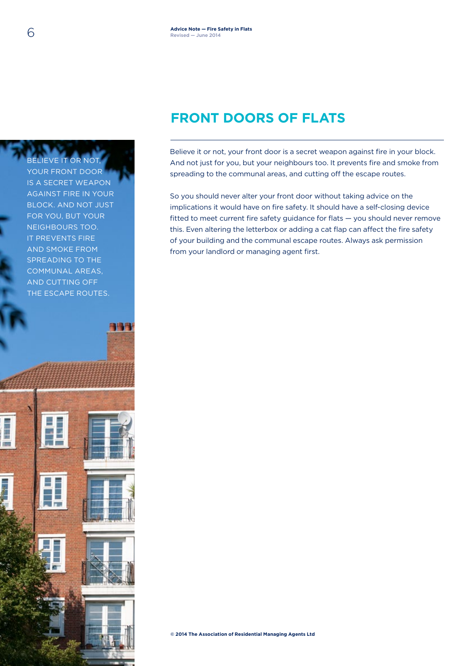# **FRONT DOORS OF FLATS**

Believe it or not, your front door is a secret weapon against fire in your block. And not just for you, but your neighbours too. It prevents fire and smoke from spreading to the communal areas, and cutting off the escape routes.

So you should never alter your front door without taking advice on the implications it would have on fire safety. It should have a self-closing device fitted to meet current fire safety guidance for flats — you should never remove this. Even altering the letterbox or adding a cat flap can affect the fire safety of your building and the communal escape routes. Always ask permission from your landlord or managing agent first.

**© 2014 The Association of Residential Managing Agents Ltd**

BELIEVE IT OR NOT, YOUR FRONT DOOR IS A SECRET WEAPON AGAINST FIRE IN YOUR BLOCK. AND NOT JUST FOR YOU, BUT YOUR NEIGHBOURS TOO. IT PREVENTS FIRE AND SMOKE FROM SPREADING TO THE COMMUNAL AREAS, AND CUTTING OFF THE ESCAPE ROUTES.

相場長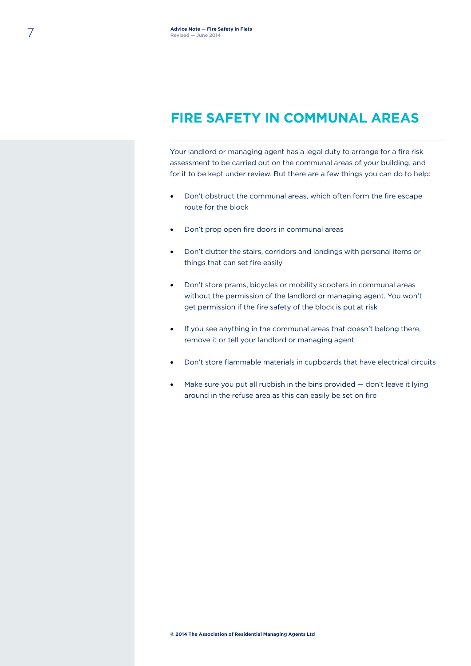### **FIRE SAFETY IN COMMUNAL AREAS**

Your landlord or managing agent has a legal duty to arrange for a fire risk assessment to be carried out on the communal areas of your building, and for it to be kept under review. But there are a few things you can do to help:

- Don't obstruct the communal areas, which often form the fire escape route for the block
- Don't prop open fire doors in communal areas
- Don't clutter the stairs, corridors and landings with personal items or things that can set fire easily
- Don't store prams, bicycles or mobility scooters in communal areas without the permission of the landlord or managing agent. You won't get permission if the fire safety of the block is put at risk
- If you see anything in the communal areas that doesn't belong there, remove it or tell your landlord or managing agent
- Don't store flammable materials in cupboards that have electrical circuits
- Make sure you put all rubbish in the bins provided don't leave it lying around in the refuse area as this can easily be set on fire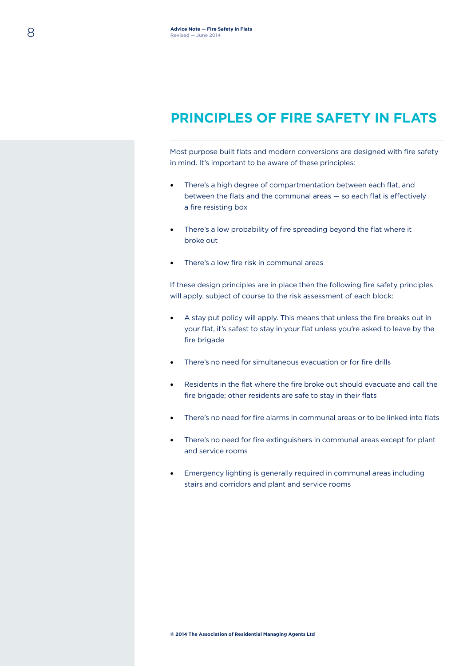### **PRINCIPLES OF FIRE SAFETY IN FLATS**

Most purpose built flats and modern conversions are designed with fire safety in mind. It's important to be aware of these principles:

- There's a high degree of compartmentation between each flat, and between the flats and the communal areas — so each flat is effectively a fire resisting box
- There's a low probability of fire spreading beyond the flat where it broke out
- There's a low fire risk in communal areas

If these design principles are in place then the following fire safety principles will apply, subject of course to the risk assessment of each block:

- A stay put policy will apply. This means that unless the fire breaks out in your flat, it's safest to stay in your flat unless you're asked to leave by the fire brigade
- There's no need for simultaneous evacuation or for fire drills
- Residents in the flat where the fire broke out should evacuate and call the fire brigade; other residents are safe to stay in their flats
- There's no need for fire alarms in communal areas or to be linked into flats
- There's no need for fire extinguishers in communal areas except for plant and service rooms
- Emergency lighting is generally required in communal areas including stairs and corridors and plant and service rooms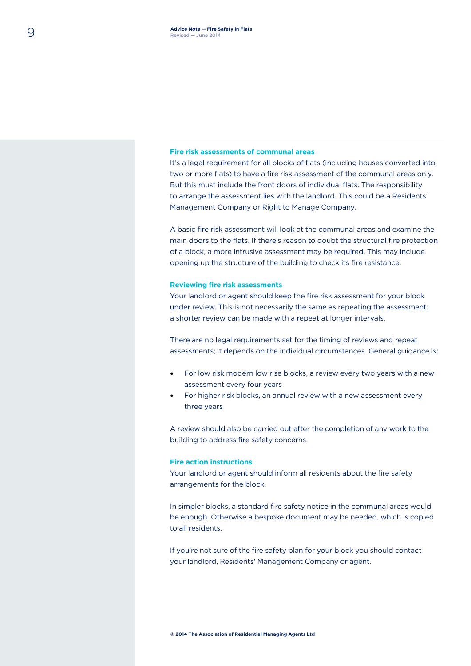#### **Fire risk assessments of communal areas**

It's a legal requirement for all blocks of flats (including houses converted into two or more flats) to have a fire risk assessment of the communal areas only. But this must include the front doors of individual flats. The responsibility to arrange the assessment lies with the landlord. This could be a Residents' Management Company or Right to Manage Company.

A basic fire risk assessment will look at the communal areas and examine the main doors to the flats. If there's reason to doubt the structural fire protection of a block, a more intrusive assessment may be required. This may include opening up the structure of the building to check its fire resistance.

#### **Reviewing fire risk assessments**

Your landlord or agent should keep the fire risk assessment for your block under review. This is not necessarily the same as repeating the assessment; a shorter review can be made with a repeat at longer intervals.

There are no legal requirements set for the timing of reviews and repeat assessments; it depends on the individual circumstances. General guidance is:

- For low risk modern low rise blocks, a review every two years with a new assessment every four years
- For higher risk blocks, an annual review with a new assessment every three years

A review should also be carried out after the completion of any work to the building to address fire safety concerns.

#### **Fire action instructions**

Your landlord or agent should inform all residents about the fire safety arrangements for the block.

In simpler blocks, a standard fire safety notice in the communal areas would be enough. Otherwise a bespoke document may be needed, which is copied to all residents.

If you're not sure of the fire safety plan for your block you should contact your landlord, Residents' Management Company or agent.